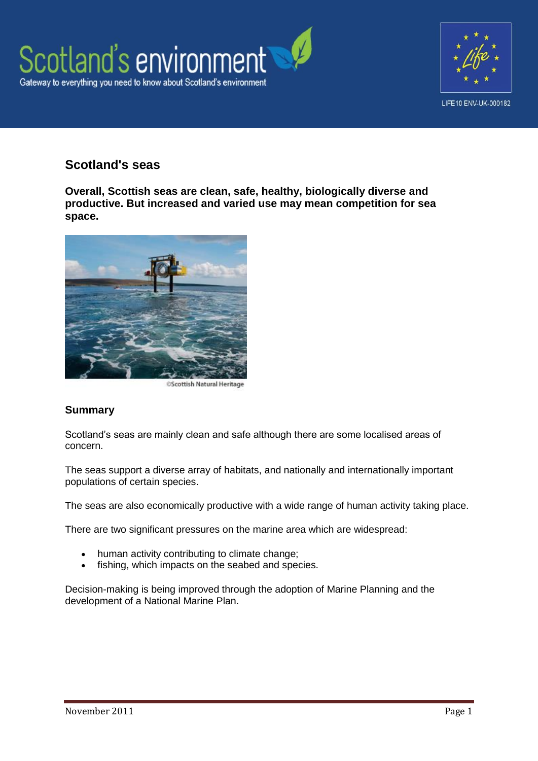



# **Scotland's seas**

**Overall, Scottish seas are clean, safe, healthy, biologically diverse and productive. But increased and varied use may mean competition for sea space.**



**OScottish Natural Heritage** 

### **Summary**

Scotland's seas are mainly clean and safe although there are some localised areas of concern.

The seas support a diverse array of habitats, and nationally and internationally important populations of certain species.

The seas are also economically productive with a wide range of human activity taking place.

There are two significant pressures on the marine area which are widespread:

- human activity contributing to climate change;
- fishing, which impacts on the seabed and species.

Decision-making is being improved through the adoption of Marine Planning and the development of a National Marine Plan.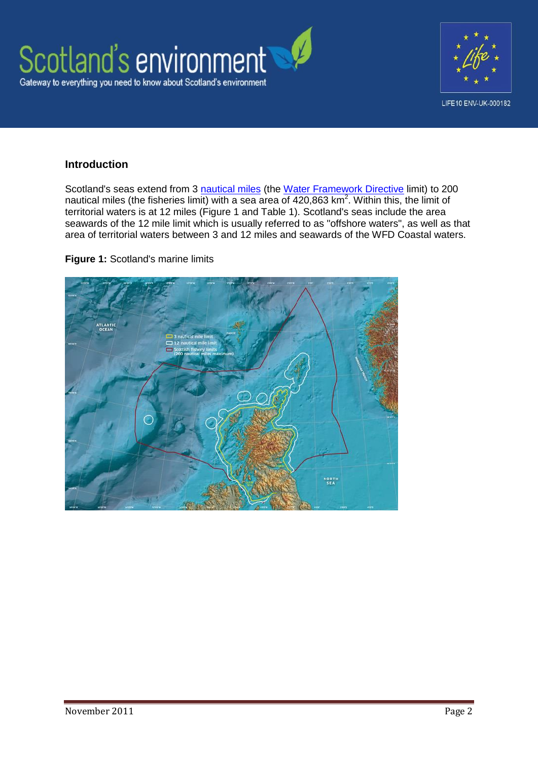



### **Introduction**

Scotland's seas extend from 3 [nautical miles](http://geography.about.com/od/learnabouttheearth/a/nauticalmiles.htm) (the [Water Framework Directive](http://www.scotland.gov.uk/Topics/Environment/Water/15561/WFD) limit) to 200 nautical miles (the fisheries limit) with a sea area of  $420,863$  km<sup>2</sup>. Within this, the limit of territorial waters is at 12 miles (Figure 1 and Table 1). Scotland's seas include the area seawards of the 12 mile limit which is usually referred to as "offshore waters", as well as that area of territorial waters between 3 and 12 miles and seawards of the WFD Coastal waters.

**Figure 1:** Scotland's marine limits

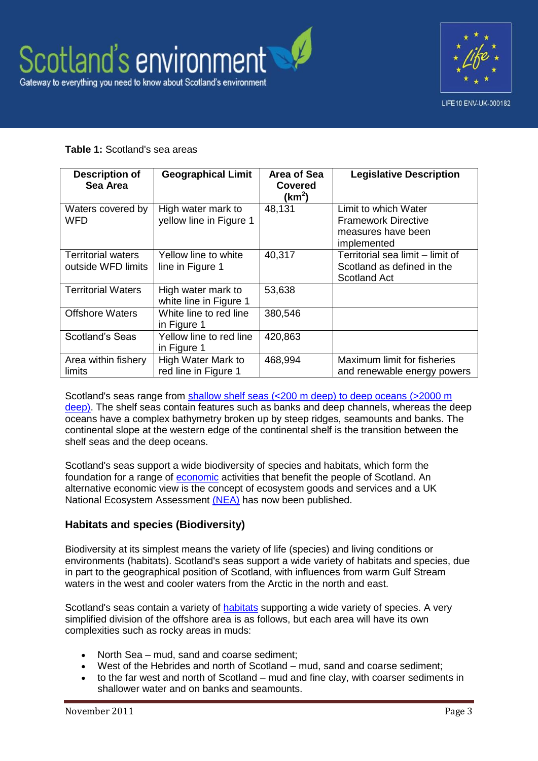



### **Table 1:** Scotland's sea areas

| <b>Description of</b><br>Sea Area               | <b>Geographical Limit</b>                     | Area of Sea<br><b>Covered</b><br>(km <sup>2</sup> ) | <b>Legislative Description</b>                                                          |
|-------------------------------------------------|-----------------------------------------------|-----------------------------------------------------|-----------------------------------------------------------------------------------------|
| Waters covered by<br><b>WFD</b>                 | High water mark to<br>yellow line in Figure 1 | 48,131                                              | Limit to which Water<br><b>Framework Directive</b><br>measures have been<br>implemented |
| <b>Territorial waters</b><br>outside WFD limits | Yellow line to white<br>line in Figure 1      | 40,317                                              | Territorial sea limit - limit of<br>Scotland as defined in the<br><b>Scotland Act</b>   |
| <b>Territorial Waters</b>                       | High water mark to<br>white line in Figure 1  | 53,638                                              |                                                                                         |
| <b>Offshore Waters</b>                          | White line to red line<br>in Figure 1         | 380,546                                             |                                                                                         |
| Scotland's Seas                                 | Yellow line to red line<br>in Figure 1        | 420,863                                             |                                                                                         |
| Area within fishery<br>limits                   | High Water Mark to<br>red line in Figure 1    | 468,994                                             | Maximum limit for fisheries<br>and renewable energy powers                              |

Scotland's seas range from [shallow shelf seas \(<200 m deep\) to deep oceans \(>2000 m](http://www.scotland.gov.uk/Publications/2011/03/16182005/23)  [deep\).](http://www.scotland.gov.uk/Publications/2011/03/16182005/23) The shelf seas contain features such as banks and deep channels, whereas the deep oceans have a complex bathymetry broken up by steep ridges, seamounts and banks. The continental slope at the western edge of the continental shelf is the transition between the shelf seas and the deep oceans.

Scotland's seas support a wide biodiversity of species and habitats, which form the foundation for a range of [economic](http://www.scotland.gov.uk/Publications/2011/03/16182005/61) activities that benefit the people of Scotland. An alternative economic view is the concept of ecosystem goods and services and a UK National Ecosystem Assessment [\(NEA\)](http://uknea.unep-wcmc.org/Resources/tabid/82/Default.aspx) has now been published.

# **Habitats and species (Biodiversity)**

Biodiversity at its simplest means the variety of life (species) and living conditions or environments (habitats). Scotland's seas support a wide variety of habitats and species, due in part to the geographical position of Scotland, with influences from warm Gulf Stream waters in the west and cooler waters from the Arctic in the north and east.

Scotland's seas contain a variety of **habitats** supporting a wide variety of species. A very simplified division of the offshore area is as follows, but each area will have its own complexities such as rocky areas in muds:

- North Sea mud, sand and coarse sediment;
- West of the Hebrides and north of Scotland mud, sand and coarse sediment;
- to the far west and north of Scotland mud and fine clay, with coarser sediments in shallower water and on banks and seamounts.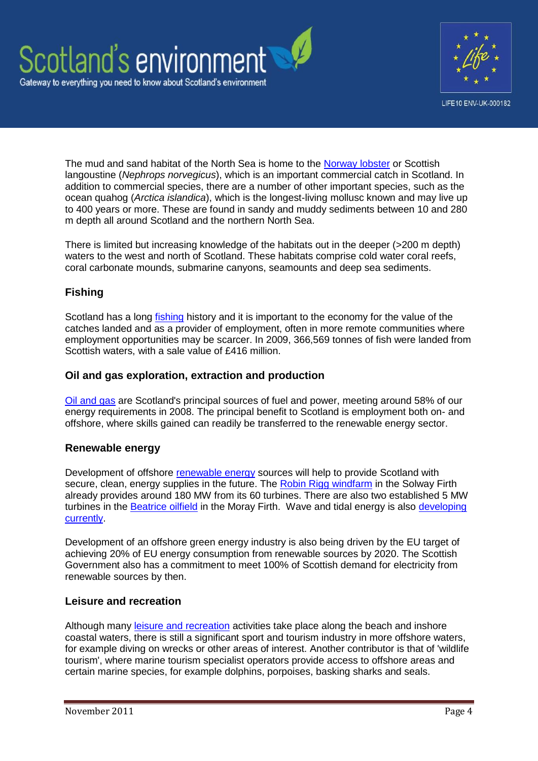



The mud and sand habitat of the North Sea is home to the [Norway lobster](http://www.snh.gov.uk/about-scotlands-nature/habitats-and-ecosystems/coasts-and-seas/seabed/burrowed-mud/) or Scottish langoustine (*Nephrops norvegicus*), which is an important commercial catch in Scotland. In addition to commercial species, there are a number of other important species, such as the ocean quahog (*Arctica islandica*), which is the longest-living mollusc known and may live up to 400 years or more. These are found in sandy and muddy sediments between 10 and 280 m depth all around Scotland and the northern North Sea.

There is limited but increasing knowledge of the habitats out in the deeper (>200 m depth) waters to the west and north of Scotland. These habitats comprise cold water coral reefs, coral carbonate mounds, submarine canyons, seamounts and deep sea sediments.

# **Fishing**

Scotland has a long [fishing](http://www.scotland.gov.uk/Publications/2011/03/16182005/63) history and it is important to the economy for the value of the catches landed and as a provider of employment, often in more remote communities where employment opportunities may be scarcer. In 2009, 366,569 tonnes of fish were landed from Scottish waters, with a sale value of £416 million.

### **Oil and gas exploration, extraction and production**

[Oil and gas](http://www.scotland.gov.uk/Publications/2011/03/16182005/70) are Scotland's principal sources of fuel and power, meeting around 58% of our energy requirements in 2008. The principal benefit to Scotland is employment both on- and offshore, where skills gained can readily be transferred to the renewable energy sector.

### **Renewable energy**

Development of offshore [renewable energy](http://www.scotland.gov.uk/Publications/2011/03/16182005/68) sources will help to provide Scotland with secure, clean, energy supplies in the future. The [Robin Rigg windfarm](http://www.eon-uk.com/maps/robinrigg.aspx) in the Solway Firth already provides around 180 MW from its 60 turbines. There are also two established 5 MW turbines in the [Beatrice oilfield](http://www.beatricewind.co.uk/home/default.asp) in the Moray Firth. Wave and tidal energy is also developing [currently.](http://www.scotland.gov.uk/Topics/marine/marineenergy)

Development of an offshore green energy industry is also being driven by the EU target of achieving 20% of EU energy consumption from renewable sources by 2020. The Scottish Government also has a commitment to meet 100% of Scottish demand for electricity from renewable sources by then.

# **Leisure and recreation**

Although many [leisure and recreation](http://www.scotland.gov.uk/Publications/2011/03/16182005/65) activities take place along the beach and inshore coastal waters, there is still a significant sport and tourism industry in more offshore waters, for example diving on wrecks or other areas of interest. Another contributor is that of 'wildlife tourism', where marine tourism specialist operators provide access to offshore areas and certain marine species, for example dolphins, porpoises, basking sharks and seals.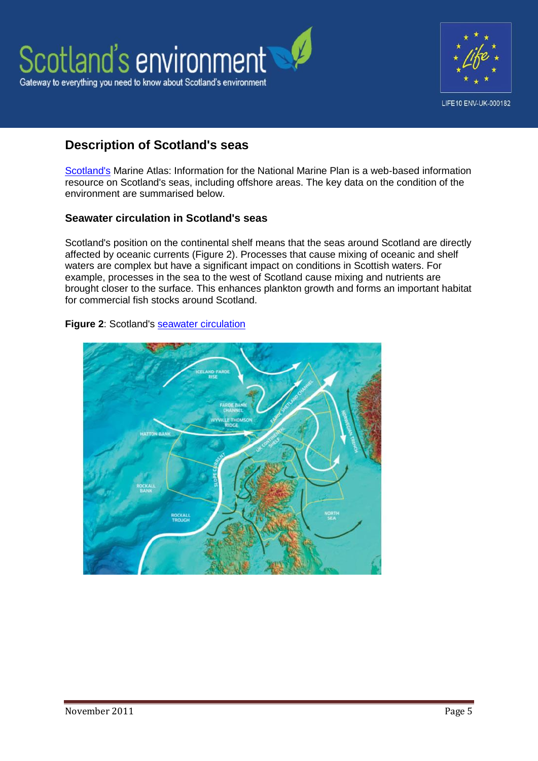



# **Description of Scotland's seas**

[Scotland's](http://www.scotland.gov.uk/Publications/2011/03/16182005/0) Marine Atlas: Information for the National Marine Plan is a web-based information resource on Scotland's seas, including offshore areas. The key data on the condition of the environment are summarised below.

### **Seawater circulation in Scotland's seas**

Scotland's position on the continental shelf means that the seas around Scotland are directly affected by oceanic currents (Figure 2). Processes that cause mixing of oceanic and shelf waters are complex but have a significant impact on conditions in Scottish waters. For example, processes in the sea to the west of Scotland cause mixing and nutrients are brought closer to the surface. This enhances plankton growth and forms an important habitat for commercial fish stocks around Scotland.



#### **Figure 2**: Scotland's [seawater circulation](http://www.scotland.gov.uk/Publications/2011/03/16182005/25)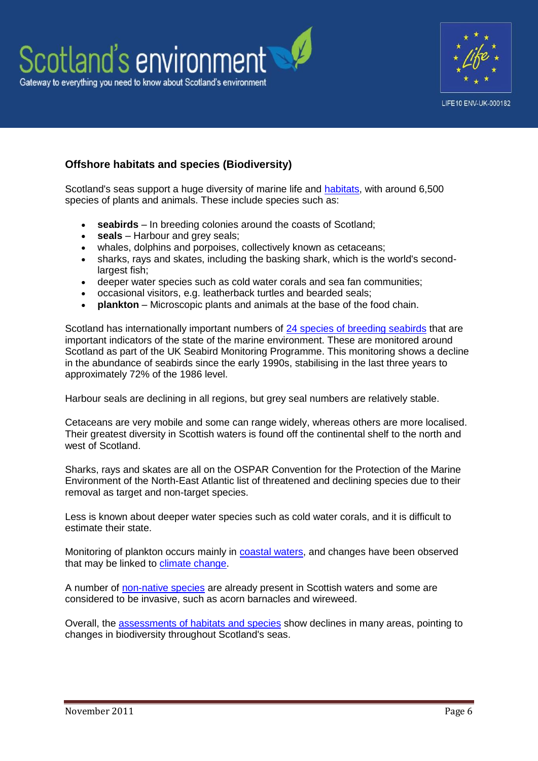



# **Offshore habitats and species (Biodiversity)**

Scotland's seas support a huge diversity of marine life and [habitats,](http://sepa-app-net02/SEWeb/our_environment/wildlife.aspx) with around 6,500 species of plants and animals. These include species such as:

- **seabirds** In breeding colonies around the coasts of Scotland;
- **seals** Harbour and grey seals;
- whales, dolphins and porpoises, collectively known as cetaceans;
- sharks, rays and skates, including the basking shark, which is the world's secondlargest fish;
- deeper water species such as cold water corals and sea fan communities;
- occasional visitors, e.g. leatherback turtles and bearded seals;
- **plankton** Microscopic plants and animals at the base of the food chain.

Scotland has internationally important numbers of [24 species of breeding seabirds](http://www.scotland.gov.uk/Publications/2011/03/16182005/56) that are important indicators of the state of the marine environment. These are monitored around Scotland as part of the UK Seabird Monitoring Programme. This monitoring shows a decline in the abundance of seabirds since the early 1990s, stabilising in the last three years to approximately 72% of the 1986 level.

Harbour seals are declining in all regions, but grey seal numbers are relatively stable.

Cetaceans are very mobile and some can range widely, whereas others are more localised. Their greatest diversity in Scottish waters is found off the continental shelf to the north and west of Scotland.

Sharks, rays and skates are all on the OSPAR Convention for the Protection of the Marine Environment of the North-East Atlantic list of threatened and declining species due to their removal as target and non-target species.

Less is known about deeper water species such as cold water corals, and it is difficult to estimate their state.

Monitoring of plankton occurs mainly in [coastal waters,](http://www.environment.scotland.gov.uk/our_environment/water/coastal_waters.aspx) and changes have been observed that may be linked to [climate change.](http://www.environment.scotland.gov.uk/our_environment/wildlife.aspx)

A number of [non-native species](http://www.snh.gov.uk/land-and-sea/managing-coasts-and-sea/marine-nonnatives/) are already present in Scottish waters and some are considered to be invasive, such as acorn barnacles and wireweed.

Overall, the [assessments of habitats and species](http://www.scotland.gov.uk/Publications/2011/03/16182005/19) show declines in many areas, pointing to changes in biodiversity throughout Scotland's seas.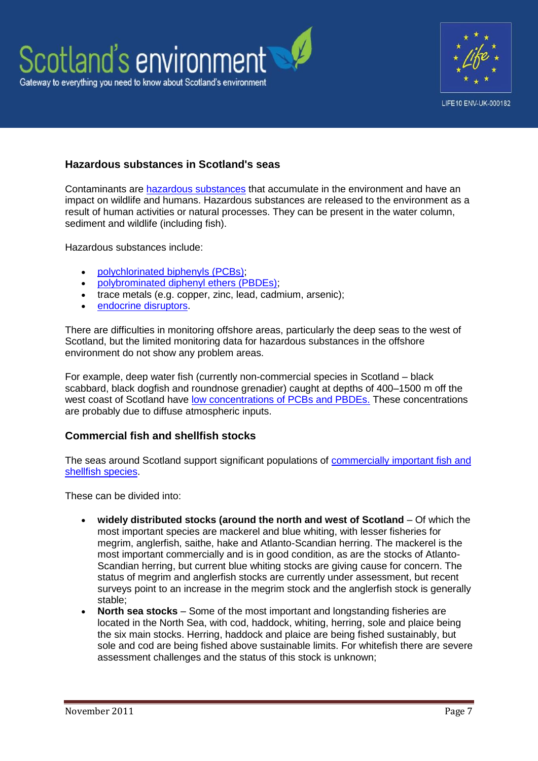



### **Hazardous substances in Scotland's seas**

Contaminants are [hazardous substances](http://www.scotland.gov.uk/Publications/2011/03/16182005/32) that accumulate in the environment and have an impact on wildlife and humans. Hazardous substances are released to the environment as a result of human activities or natural processes. They can be present in the water column, sediment and wildlife (including fish).

Hazardous substances include:

- [polychlorinated biphenyls \(PCBs\);](http://www.ukmarinesac.org.uk/activities/water-quality/wq8_42.htm)
- [polybrominated diphenyl ethers \(PBDEs\);](http://toxipedia.org/display/toxipedia/Polybrominated+Diphenyl+Ethers+%28PBDEs%29)
- trace metals (e.g. copper, zinc, lead, cadmium, arsenic);
- [endocrine disruptors.](http://www.epa.gov/endo/pubs/edspoverview/whatare.htm)

There are difficulties in monitoring offshore areas, particularly the deep seas to the west of Scotland, but the limited monitoring data for hazardous substances in the offshore environment do not show any problem areas.

For example, deep water fish (currently non-commercial species in Scotland – black scabbard, black dogfish and roundnose grenadier) caught at depths of 400–1500 m off the west coast of Scotland have [low concentrations of PCBs and PBDEs.](http://www.ncbi.nlm.nih.gov/pubmed/21451877) These concentrations are probably due to diffuse atmospheric inputs.

### **Commercial fish and shellfish stocks**

The seas around Scotland support significant populations of [commercially important fish and](http://www.scotland.gov.uk/Publications/2011/03/16182005/51)  [shellfish species.](http://www.scotland.gov.uk/Publications/2011/03/16182005/51)

These can be divided into:

- **widely distributed stocks (around the north and west of Scotland** Of which the most important species are mackerel and blue whiting, with lesser fisheries for megrim, anglerfish, saithe, hake and Atlanto-Scandian herring. The mackerel is the most important commercially and is in good condition, as are the stocks of Atlanto-Scandian herring, but current blue whiting stocks are giving cause for concern. The status of megrim and anglerfish stocks are currently under assessment, but recent surveys point to an increase in the megrim stock and the anglerfish stock is generally stable;
- **North sea stocks** Some of the most important and longstanding fisheries are located in the North Sea, with cod, haddock, whiting, herring, sole and plaice being the six main stocks. Herring, haddock and plaice are being fished sustainably, but sole and cod are being fished above sustainable limits. For whitefish there are severe assessment challenges and the status of this stock is unknown;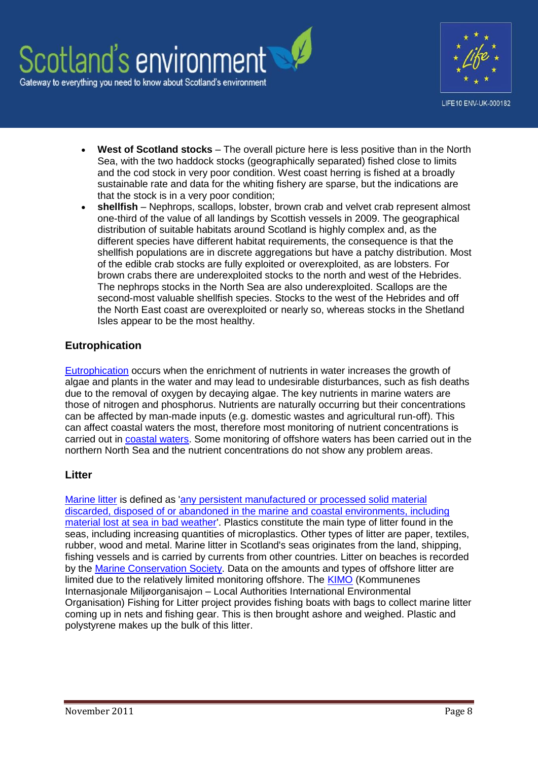

LIFE10 ENV-UK-000182

- **West of Scotland stocks** The overall picture here is less positive than in the North Sea, with the two haddock stocks (geographically separated) fished close to limits and the cod stock in very poor condition. West coast herring is fished at a broadly sustainable rate and data for the whiting fishery are sparse, but the indications are that the stock is in a very poor condition;
- **shellfish** Nephrops, scallops, lobster, brown crab and velvet crab represent almost one-third of the value of all landings by Scottish vessels in 2009. The geographical distribution of suitable habitats around Scotland is highly complex and, as the different species have different habitat requirements, the consequence is that the shellfish populations are in discrete aggregations but have a patchy distribution. Most of the edible crab stocks are fully exploited or overexploited, as are lobsters. For brown crabs there are underexploited stocks to the north and west of the Hebrides. The nephrops stocks in the North Sea are also underexploited. Scallops are the second-most valuable shellfish species. Stocks to the west of the Hebrides and off the North East coast are overexploited or nearly so, whereas stocks in the Shetland Isles appear to be the most healthy.

### **Eutrophication**

[Eutrophication](http://www.scotland.gov.uk/Publications/2011/03/16182005/38) occurs when the enrichment of nutrients in water increases the growth of algae and plants in the water and may lead to undesirable disturbances, such as fish deaths due to the removal of oxygen by decaying algae. The key nutrients in marine waters are those of nitrogen and phosphorus. Nutrients are naturally occurring but their concentrations can be affected by man-made inputs (e.g. domestic wastes and agricultural run-off). This can affect coastal waters the most, therefore most monitoring of nutrient concentrations is carried out in [coastal waters.](http://www.environment.scotland.gov.uk/our_environment/water/coastal_waters.aspx) Some monitoring of offshore waters has been carried out in the northern North Sea and the nutrient concentrations do not show any problem areas.

### **Litter**

[Marine litter](http://www.scotland.gov.uk/Publications/2011/03/16182005/40) is defined as ['any persistent manufactured or processed solid material](http://www.unep.org/regionalseas/marinelitter/publications/docs/anl_oview.pdf)  [discarded, disposed of or abandoned in the marine and coastal environments, including](http://www.unep.org/regionalseas/marinelitter/publications/docs/anl_oview.pdf)  [material lost at sea in bad weather'.](http://www.unep.org/regionalseas/marinelitter/publications/docs/anl_oview.pdf) Plastics constitute the main type of litter found in the seas, including increasing quantities of microplastics. Other types of litter are paper, textiles, rubber, wood and metal. Marine litter in Scotland's seas originates from the land, shipping, fishing vessels and is carried by currents from other countries. Litter on beaches is recorded by the [Marine Conservation](http://www.mcsuk.org/what_we_do/Clean+seas+and+beaches) Society. Data on the amounts and types of offshore litter are limited due to the relatively limited monitoring offshore. The [KIMO](http://www.kimointernational.org/Home.aspx) (Kommunenes Internasjonale Miljøorganisajon – Local Authorities International Environmental Organisation) Fishing for Litter project provides fishing boats with bags to collect marine litter coming up in nets and fishing gear. This is then brought ashore and weighed. Plastic and polystyrene makes up the bulk of this litter.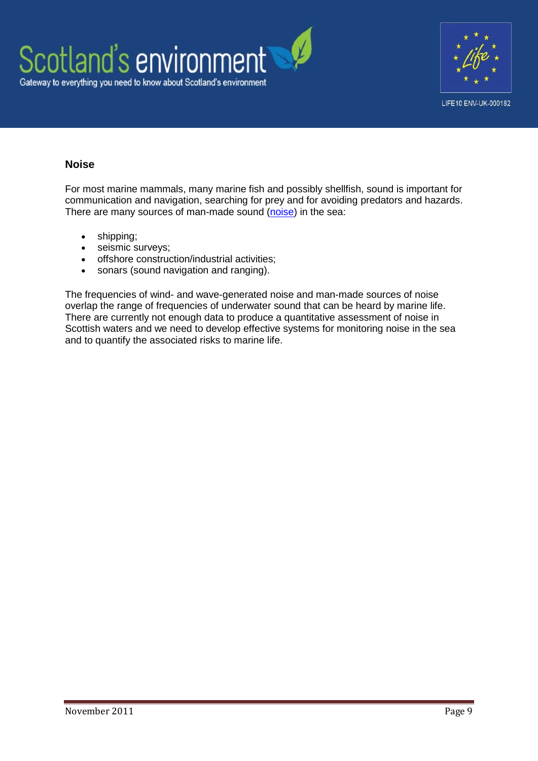



# **Noise**

For most marine mammals, many marine fish and possibly shellfish, sound is important for communication and navigation, searching for prey and for avoiding predators and hazards. There are many sources of man-made sound [\(noise\)](http://www.scotland.gov.uk/Publications/2011/03/16182005/42) in the sea:

- shipping:
- seismic surveys;
- offshore construction/industrial activities;
- sonars (sound navigation and ranging).

The frequencies of wind- and wave-generated noise and man-made sources of noise overlap the range of frequencies of underwater sound that can be heard by marine life. There are currently not enough data to produce a quantitative assessment of noise in Scottish waters and we need to develop effective systems for monitoring noise in the sea and to quantify the associated risks to marine life.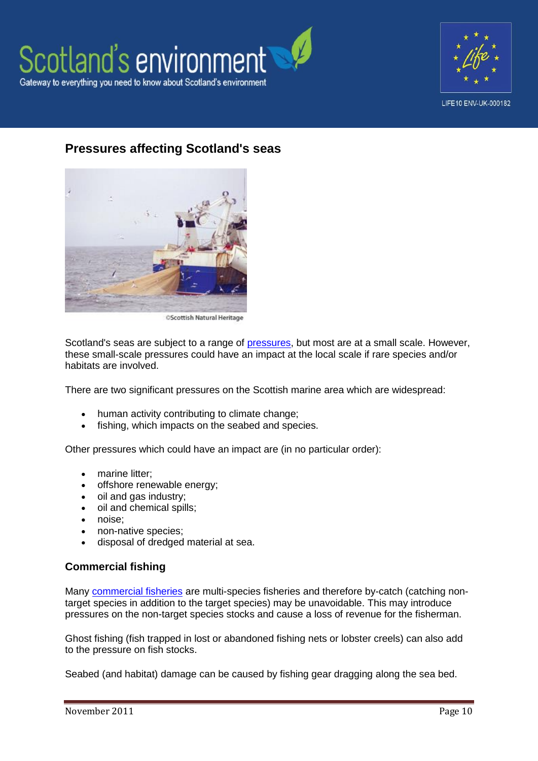



# **Pressures affecting Scotland's seas**



**OScottish Natural Heritage** 

Scotland's seas are subject to a range of [pressures,](http://www.scotland.gov.uk/Topics/marine/science/atlas/pressures) but most are at a small scale. However, these small-scale pressures could have an impact at the local scale if rare species and/or habitats are involved.

There are two significant pressures on the Scottish marine area which are widespread:

- human activity contributing to climate change;
- fishing, which impacts on the seabed and species.

Other pressures which could have an impact are (in no particular order):

- marine litter;
- offshore renewable energy;
- oil and gas industry;
- oil and chemical spills;
- noise;
- non-native species;
- disposal of dredged material at sea.

### **Commercial fishing**

Many [commercial fisheries](http://www.scotland.gov.uk/Publications/2011/03/16182005/63) are multi-species fisheries and therefore by-catch (catching nontarget species in addition to the target species) may be unavoidable. This may introduce pressures on the non-target species stocks and cause a loss of revenue for the fisherman.

Ghost fishing (fish trapped in lost or abandoned fishing nets or lobster creels) can also add to the pressure on fish stocks.

Seabed (and habitat) damage can be caused by fishing gear dragging along the sea bed.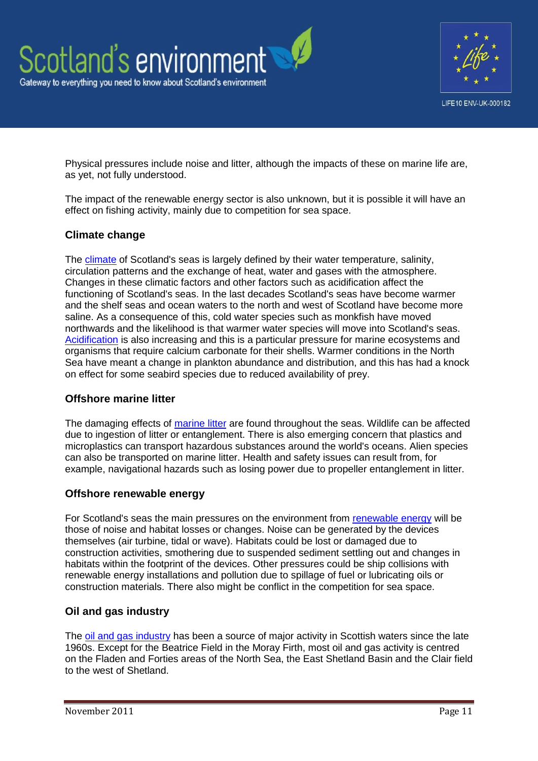



Physical pressures include noise and litter, although the impacts of these on marine life are, as yet, not fully understood.

The impact of the renewable energy sector is also unknown, but it is possible it will have an effect on fishing activity, mainly due to competition for sea space.

### **Climate change**

The [climate](http://www.scotland.gov.uk/Topics/marine/science/atlas/climatechange) of Scotland's seas is largely defined by their water temperature, salinity, circulation patterns and the exchange of heat, water and gases with the atmosphere. Changes in these climatic factors and other factors such as acidification affect the functioning of Scotland's seas. In the last decades Scotland's seas have become warmer and the shelf seas and ocean waters to the north and west of Scotland have become more saline. As a consequence of this, cold water species such as monkfish have moved northwards and the likelihood is that warmer water species will move into Scotland's seas. [Acidification](http://www.scotland.gov.uk/Publications/2011/03/16182005/26) is also increasing and this is a particular pressure for marine ecosystems and organisms that require calcium carbonate for their shells. Warmer conditions in the North Sea have meant a change in plankton abundance and distribution, and this has had a knock on effect for some seabird species due to reduced availability of prey.

### **Offshore marine litter**

The damaging effects of [marine litter](http://www.scotland.gov.uk/Publications/2011/03/16182005/40) are found throughout the seas. Wildlife can be affected due to ingestion of litter or entanglement. There is also emerging concern that plastics and microplastics can transport hazardous substances around the world's oceans. Alien species can also be transported on marine litter. Health and safety issues can result from, for example, navigational hazards such as losing power due to propeller entanglement in litter.

### **Offshore renewable energy**

For Scotland's seas the main pressures on the environment from [renewable energy](http://www.scotland.gov.uk/Publications/2011/03/16182005/68) will be those of noise and habitat losses or changes. Noise can be generated by the devices themselves (air turbine, tidal or wave). Habitats could be lost or damaged due to construction activities, smothering due to suspended sediment settling out and changes in habitats within the footprint of the devices. Other pressures could be ship collisions with renewable energy installations and pollution due to spillage of fuel or lubricating oils or construction materials. There also might be conflict in the competition for sea space.

### **Oil and gas industry**

The [oil and gas industry](http://www.scotland.gov.uk/Publications/2011/03/16182005/70) has been a source of major activity in Scottish waters since the late 1960s. Except for the Beatrice Field in the Moray Firth, most oil and gas activity is centred on the Fladen and Forties areas of the North Sea, the East Shetland Basin and the Clair field to the west of Shetland.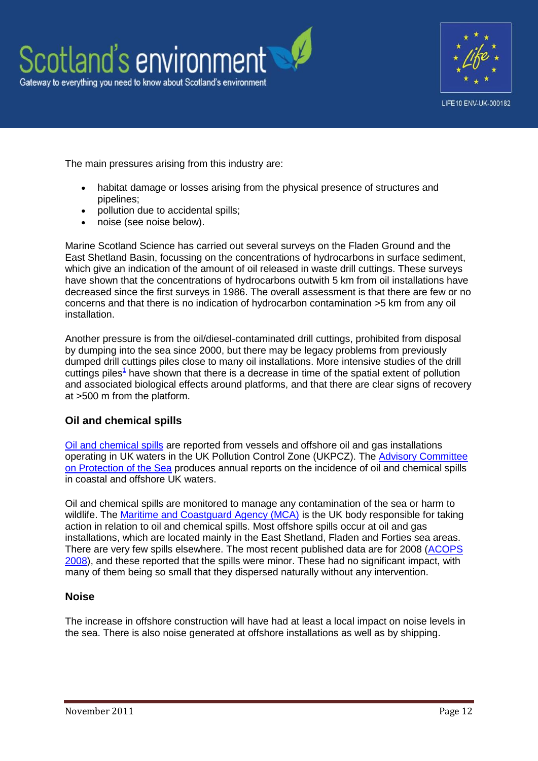



The main pressures arising from this industry are:

- habitat damage or losses arising from the physical presence of structures and pipelines;
- pollution due to accidental spills;
- noise (see noise below).

Marine Scotland Science has carried out several surveys on the Fladen Ground and the East Shetland Basin, focussing on the concentrations of hydrocarbons in surface sediment, which give an indication of the amount of oil released in waste drill cuttings. These surveys have shown that the concentrations of hydrocarbons outwith 5 km from oil installations have decreased since the first surveys in 1986. The overall assessment is that there are few or no concerns and that there is no indication of hydrocarbon contamination >5 km from any oil installation.

Another pressure is from the oil/diesel-contaminated drill cuttings, prohibited from disposal by dumping into the sea since 2000, but there may be legacy problems from previously dumped drill cuttings piles close to many oil installations. More intensive studies of the drill cutting[s](http://sepa-app-net02/SEWeb/our_environment/water/scotlands_seas/pressures.aspx#Offshore2) piles<sup>1</sup> have shown that there is a decrease in time of the spatial extent of pollution and associated biological effects around platforms, and that there are clear signs of recovery at >500 m from the platform.

### **Oil and chemical spills**

[Oil and chemical spills](http://www.scotland.gov.uk/Publications/2011/03/16182005/34) are reported from vessels and offshore oil and gas installations operating in UK waters in the UK Pollution Control Zone (UKPCZ). The [Advisory Committee](http://www.acops.org.uk/annual-reports/)  [on Protection of the Sea](http://www.acops.org.uk/annual-reports/) produces annual reports on the incidence of oil and chemical spills in coastal and offshore UK waters.

Oil and chemical spills are monitored to manage any contamination of the sea or harm to wildlife. The [Maritime and Coastguard Agency \(MCA\)](http://www.dft.gov.uk/mca/mcga07-home/emergencyresponse.htm) is the UK body responsible for taking action in relation to oil and chemical spills. Most offshore spills occur at oil and gas installations, which are located mainly in the East Shetland, Fladen and Forties sea areas. There are very few spills elsewhere. The most recent published data are for 2008 [\(ACOPS](http://www.dft.gov.uk/mca/acops_annual_report_2008.pdf)  [2008\)](http://www.dft.gov.uk/mca/acops_annual_report_2008.pdf), and these reported that the spills were minor. These had no significant impact, with many of them being so small that they dispersed naturally without any intervention.

### **Noise**

The increase in offshore construction will have had at least a local impact on noise levels in the sea. There is also noise generated at offshore installations as well as by shipping.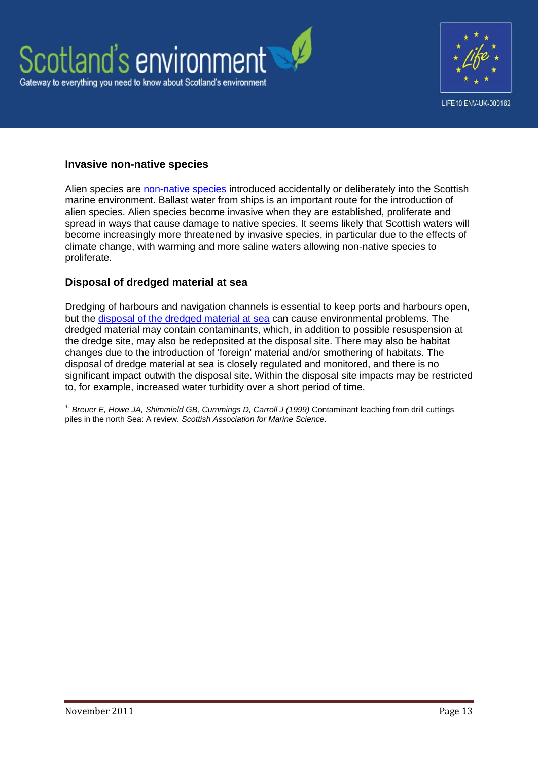



#### **Invasive non-native species**

Alien species are [non-native species](http://www.scotland.gov.uk/Publications/2011/03/16182005/59) introduced accidentally or deliberately into the Scottish marine environment. Ballast water from ships is an important route for the introduction of alien species. Alien species become invasive when they are established, proliferate and spread in ways that cause damage to native species. It seems likely that Scottish waters will become increasingly more threatened by invasive species, in particular due to the effects of climate change, with warming and more saline waters allowing non-native species to proliferate.

#### **Disposal of dredged material at sea**

Dredging of harbours and navigation channels is essential to keep ports and harbours open, but the [disposal of the dredged material at sea](http://www.scotland.gov.uk/Publications/2011/03/16182005/73) can cause environmental problems. The dredged material may contain contaminants, which, in addition to possible resuspension at the dredge site, may also be redeposited at the disposal site. There may also be habitat changes due to the introduction of 'foreign' material and/or smothering of habitats. The disposal of dredge material at sea is closely regulated and monitored, and there is no significant impact outwith the disposal site. Within the disposal site impacts may be restricted to, for example, increased water turbidity over a short period of time.

*1. Breuer E, Howe JA, Shimmield GB, Cummings D, Carroll J (1999)* Contaminant leaching from drill cuttings piles in the north Sea: A review. *Scottish Association for Marine Science.*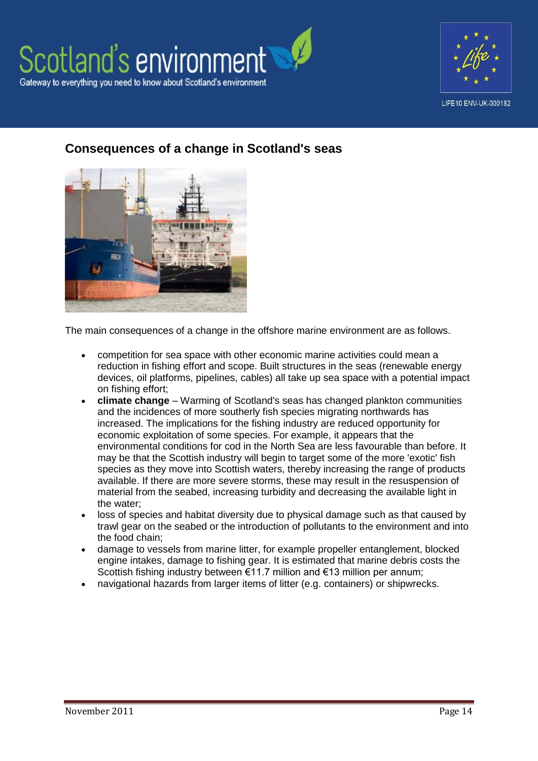



# **Consequences of a change in Scotland's seas**



The main consequences of a change in the offshore marine environment are as follows.

- competition for sea space with other economic marine activities could mean a reduction in fishing effort and scope. Built structures in the seas (renewable energy devices, oil platforms, pipelines, cables) all take up sea space with a potential impact on fishing effort;
- **climate change** Warming of Scotland's seas has changed plankton communities and the incidences of more southerly fish species migrating northwards has increased. The implications for the fishing industry are reduced opportunity for economic exploitation of some species. For example, it appears that the environmental conditions for cod in the North Sea are less favourable than before. It may be that the Scottish industry will begin to target some of the more 'exotic' fish species as they move into Scottish waters, thereby increasing the range of products available. If there are more severe storms, these may result in the resuspension of material from the seabed, increasing turbidity and decreasing the available light in the water;
- loss of species and habitat diversity due to physical damage such as that caused by trawl gear on the seabed or the introduction of pollutants to the environment and into the food chain;
- damage to vessels from marine litter, for example propeller entanglement, blocked engine intakes, damage to fishing gear. It is estimated that marine debris costs the Scottish fishing industry between €11.7 million and €13 million per annum:
- navigational hazards from larger items of litter (e.g. containers) or shipwrecks.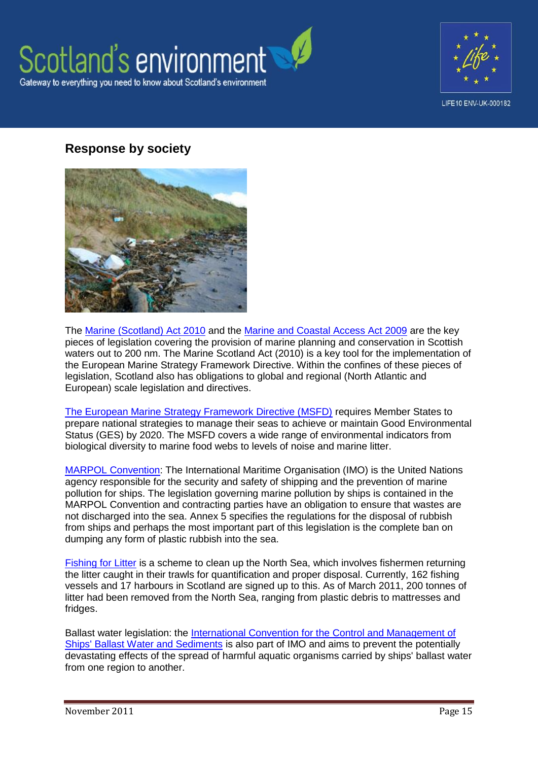

![](_page_14_Picture_1.jpeg)

# **Response by society**

![](_page_14_Picture_3.jpeg)

The [Marine \(Scotland\) Act 2010](http://www.legislation.gov.uk/asp/2010/5/pdfs/asp_20100005_en.pdf) and the [Marine and Coastal Access Act 2009](http://www.legislation.gov.uk/ukpga/2009/23/contents) are the key pieces of legislation covering the provision of marine planning and conservation in Scottish waters out to 200 nm. The Marine Scotland Act (2010) is a key tool for the implementation of the European Marine Strategy Framework Directive. Within the confines of these pieces of legislation, Scotland also has obligations to global and regional (North Atlantic and European) scale legislation and directives.

The European Marine [Strategy Framework Directive \(MSFD\)](http://www.scotland.gov.uk/Topics/marine/seamanagement/international/msfd) requires Member States to prepare national strategies to manage their seas to achieve or maintain Good Environmental Status (GES) by 2020. The MSFD covers a wide range of environmental indicators from biological diversity to marine food webs to levels of noise and marine litter.

[MARPOL Convention:](http://www.imo.org/OurWork/Environment/PollutionPrevention/Pages/Default.aspx) The International Maritime Organisation (IMO) is the United Nations agency responsible for the security and safety of shipping and the prevention of marine pollution for ships. The legislation governing marine pollution by ships is contained in the MARPOL Convention and contracting parties have an obligation to ensure that wastes are not discharged into the sea. Annex 5 specifies the regulations for the disposal of rubbish from ships and perhaps the most important part of this legislation is the complete ban on dumping any form of plastic rubbish into the sea.

[Fishing for Litter](http://www.kimointernational.org/Home.aspx) is a scheme to clean up the North Sea, which involves fishermen returning the litter caught in their trawls for quantification and proper disposal. Currently, 162 fishing vessels and 17 harbours in Scotland are signed up to this. As of March 2011, 200 tonnes of litter had been removed from the North Sea, ranging from plastic debris to mattresses and fridges.

Ballast water legislation: the [International Convention for the Control and Management of](http://www.imo.org/About/Conventions/ListOfConventions/Pages/International-Convention-for-the-Control-and-Management-of-Ships%27-Ballast-Water-and-Sediments-%28BWM%29.aspx)  [Ships' Ballast Water and Sediments](http://www.imo.org/About/Conventions/ListOfConventions/Pages/International-Convention-for-the-Control-and-Management-of-Ships%27-Ballast-Water-and-Sediments-%28BWM%29.aspx) is also part of IMO and aims to prevent the potentially devastating effects of the spread of harmful aquatic organisms carried by ships' ballast water from one region to another.